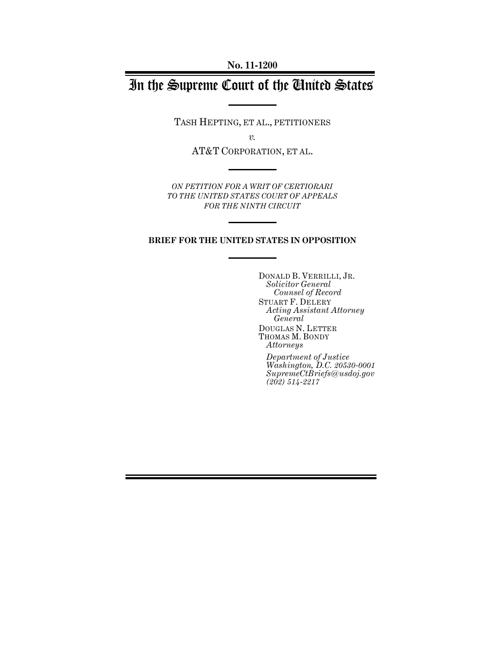# In the Supreme Court of the United States

TASH HEPTING, ET AL., PETITIONERS

*v.*

AT&T CORPORATION, ET AL.

*ON PETITION FOR A WRIT OF CERTIORARI TO THE UNITED STATES COURT OF APPEALS FOR THE NINTH CIRCUIT* 

#### **BRIEF FOR THE UNITED STATES IN OPPOSITION**

DONALD B. VERRILLI, JR. *Solicitor General Counsel of Record*  STUART F. DELERY *Acting Assistant Attorney General*  DOUGLAS N. LETTER THOMAS M. BONDY *Attorneys* 

*Department of Justice Washington, D.C. 20530-0001 SupremeCtBriefs@usdoj.gov (202) 514-2217*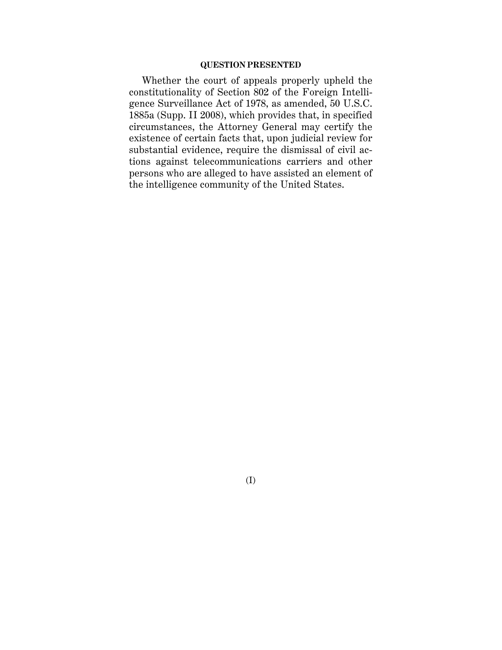#### **QUESTION PRESENTED**

Whether the court of appeals properly upheld the constitutionality of Section 802 of the Foreign Intelligence Surveillance Act of 1978, as amended, 50 U.S.C. 1885a (Supp. II 2008), which provides that, in specified circumstances, the Attorney General may certify the existence of certain facts that, upon judicial review for substantial evidence, require the dismissal of civil actions against telecommunications carriers and other persons who are alleged to have assisted an element of the intelligence community of the United States.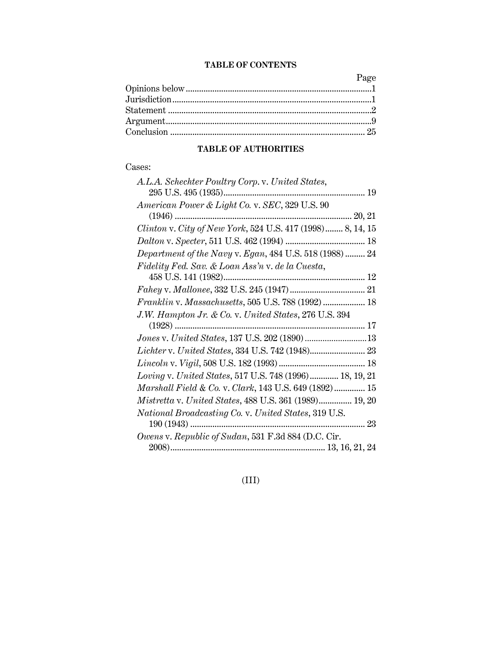### **TABLE OF CONTENTS**

Page Opinions below ....................................................................................1 Jurisdiction ..........................................................................................1 Statement ............................................................................................2 Argument .............................................................................................9 Conclusion ........................................................................................ 25

### **TABLE OF AUTHORITIES**

#### Cases:

| A.L.A. Schechter Poultry Corp. v. United States,           |
|------------------------------------------------------------|
|                                                            |
| American Power & Light Co. v. SEC, 329 U.S. 90             |
| $(1946)$                                                   |
| Clinton v. City of New York, 524 U.S. 417 (1998) 8, 14, 15 |
|                                                            |
| Department of the Navy v. Egan, 484 U.S. 518 (1988)  24    |
| Fidelity Fed. Sav. & Loan Ass'n v. de la Cuesta,           |
|                                                            |
|                                                            |
| Franklin v. Massachusetts, 505 U.S. 788 (1992)  18         |
| J.W. Hampton Jr. & Co. v. United States, 276 U.S. 394      |
|                                                            |
|                                                            |
|                                                            |
|                                                            |
| Loving v. United States, 517 U.S. 748 (1996) 18, 19, 21    |
| Marshall Field & Co. v. Clark, 143 U.S. 649 (1892) 15      |
| Mistretta v. United States, 488 U.S. 361 (1989) 19, 20     |
| National Broadcasting Co. v. United States, 319 U.S.       |
|                                                            |
| Owens v. Republic of Sudan, 531 F.3d 884 (D.C. Cir.        |
|                                                            |

(III)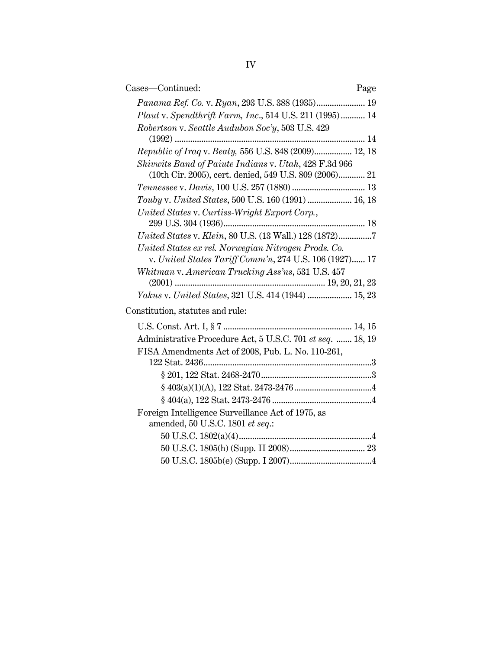| Cases—Continued:                                                                                              | Page |
|---------------------------------------------------------------------------------------------------------------|------|
| Panama Ref. Co. v. Ryan, 293 U.S. 388 (1935) 19                                                               |      |
| Plaut v. Spendthrift Farm, Inc., 514 U.S. 211 (1995) 14                                                       |      |
| Robertson v. Seattle Audubon Soc'y, 503 U.S. 429                                                              |      |
|                                                                                                               |      |
| Republic of Iraq v. Beaty, 556 U.S. 848 (2009) 12, 18                                                         |      |
| Shivwits Band of Paiute Indians v. Utah, 428 F.3d 966                                                         |      |
| (10th Cir. 2005), cert. denied, 549 U.S. 809 (2006) 21                                                        |      |
|                                                                                                               |      |
| Touby v. United States, 500 U.S. 160 (1991)  16, 18                                                           |      |
| United States v. Curtiss-Wright Export Corp.,                                                                 |      |
|                                                                                                               |      |
| United States v. Klein, 80 U.S. (13 Wall.) 128 (1872)7                                                        |      |
| United States ex rel. Norwegian Nitrogen Prods. Co.<br>v. United States Tariff Comm'n, 274 U.S. 106 (1927) 17 |      |
| Whitman v. American Trucking Ass'ns, 531 U.S. 457                                                             |      |
| Yakus v. United States, 321 U.S. 414 (1944)  15, 23                                                           |      |
| Constitution, statutes and rule:                                                                              |      |
|                                                                                                               |      |
|                                                                                                               |      |
| Administrative Procedure Act, 5 U.S.C. 701 et seq.  18, 19                                                    |      |
| FISA Amendments Act of 2008, Pub. L. No. 110-261,                                                             |      |
|                                                                                                               |      |
|                                                                                                               |      |
|                                                                                                               |      |
|                                                                                                               |      |
| Foreign Intelligence Surveillance Act of 1975, as                                                             |      |
| amended, 50 U.S.C. 1801 et seq.:                                                                              |      |
|                                                                                                               |      |
|                                                                                                               |      |

50 U.S.C. 1805b(e) (Supp. I 2007) .....................................4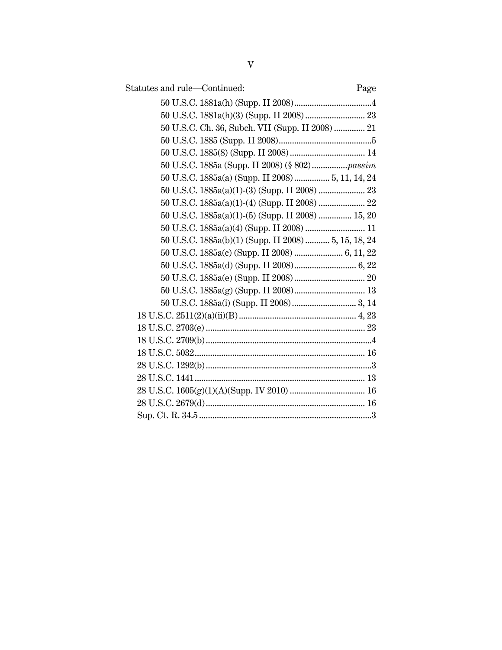| Statutes and rule-Continued:                         | Page |
|------------------------------------------------------|------|
|                                                      |      |
|                                                      |      |
| 50 U.S.C. Ch. 36, Subch. VII (Supp. II 2008)  21     |      |
|                                                      |      |
|                                                      |      |
|                                                      |      |
| 50 U.S.C. 1885a(a) (Supp. II 2008) 5, 11, 14, 24     |      |
|                                                      |      |
| 50 U.S.C. 1885a(a)(1)-(4) (Supp. II 2008)  22        |      |
| 50 U.S.C. 1885a(a)(1)-(5) (Supp. II 2008)  15, 20    |      |
| 50 U.S.C. 1885a(a)(4) (Supp. II 2008)  11            |      |
| 50 U.S.C. 1885a(b)(1) (Supp. II 2008)  5, 15, 18, 24 |      |
|                                                      |      |
|                                                      |      |
|                                                      |      |
|                                                      |      |
|                                                      |      |
|                                                      |      |
|                                                      |      |
|                                                      |      |
|                                                      |      |
|                                                      |      |
|                                                      |      |
|                                                      |      |
|                                                      |      |
|                                                      |      |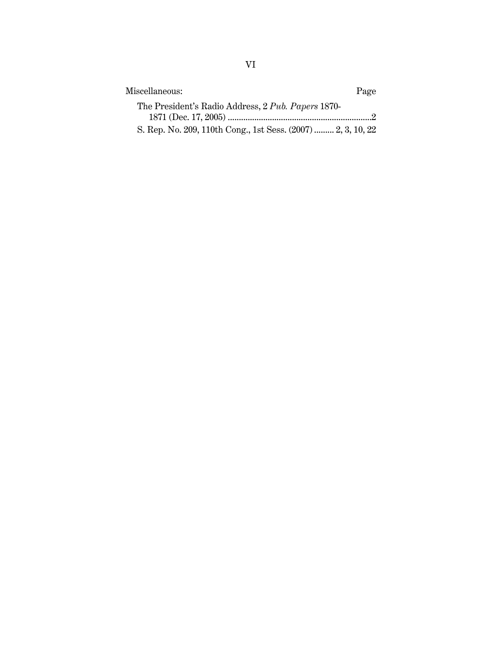| Miscellaneous:                                               | Page |
|--------------------------------------------------------------|------|
| The President's Radio Address, 2 Pub. Papers 1870-           |      |
|                                                              |      |
| S. Rep. No. 209, 110th Cong., 1st Sess. (2007)  2, 3, 10, 22 |      |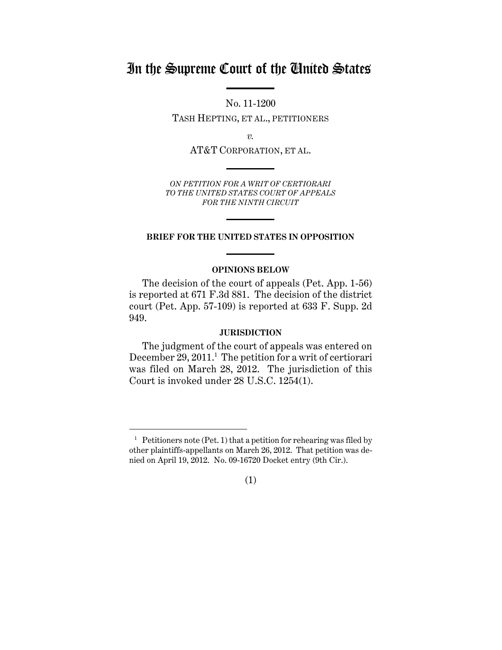## In the Supreme Court of the United States

No. 11-1200

TASH HEPTING, ET AL., PETITIONERS

*v.*

AT&T CORPORATION, ET AL.

*ON PETITION FOR A WRIT OF CERTIORARI TO THE UNITED STATES COURT OF APPEALS FOR THE NINTH CIRCUIT* 

#### **BRIEF FOR THE UNITED STATES IN OPPOSITION**

#### **OPINIONS BELOW**

The decision of the court of appeals (Pet. App. 1-56) is reported at 671 F.3d 881. The decision of the district court (Pet. App. 57-109) is reported at 633 F. Supp. 2d 949.

#### **JURISDICTION**

The judgment of the court of appeals was entered on December 29, 2011.<sup>1</sup> The petition for a writ of certiorari was filed on March 28, 2012. The jurisdiction of this Court is invoked under 28 U.S.C. 1254(1).

<sup>&</sup>lt;sup>1</sup> Petitioners note (Pet. 1) that a petition for rehearing was filed by other plaintiffs-appellants on March 26, 2012. That petition was denied on April 19, 2012. No. 09-16720 Docket entry (9th Cir.).

<sup>(1)</sup>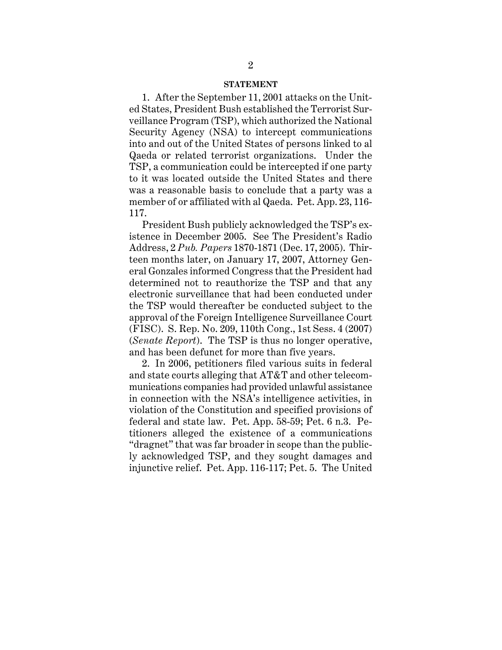#### **STATEMENT**

1. After the September 11, 2001 attacks on the United States, President Bush established the Terrorist Surveillance Program (TSP), which authorized the National Security Agency (NSA) to intercept communications into and out of the United States of persons linked to al Qaeda or related terrorist organizations. Under the TSP, a communication could be intercepted if one party to it was located outside the United States and there was a reasonable basis to conclude that a party was a member of or affiliated with al Qaeda. Pet. App. 23, 116- 117.

President Bush publicly acknowledged the TSP's existence in December 2005. See The President's Radio Address, 2 *Pub. Papers* 1870-1871 (Dec. 17, 2005). Thirteen months later, on January 17, 2007, Attorney General Gonzales informed Congress that the President had determined not to reauthorize the TSP and that any electronic surveillance that had been conducted under the TSP would thereafter be conducted subject to the approval of the Foreign Intelligence Surveillance Court (FISC). S. Rep. No. 209, 110th Cong., 1st Sess. 4 (2007) (*Senate Report*). The TSP is thus no longer operative, and has been defunct for more than five years.

2. In 2006, petitioners filed various suits in federal and state courts alleging that AT&T and other telecommunications companies had provided unlawful assistance in connection with the NSA's intelligence activities, in violation of the Constitution and specified provisions of federal and state law. Pet. App. 58-59; Pet. 6 n.3. Petitioners alleged the existence of a communications "dragnet" that was far broader in scope than the publicly acknowledged TSP, and they sought damages and injunctive relief. Pet. App. 116-117; Pet. 5. The United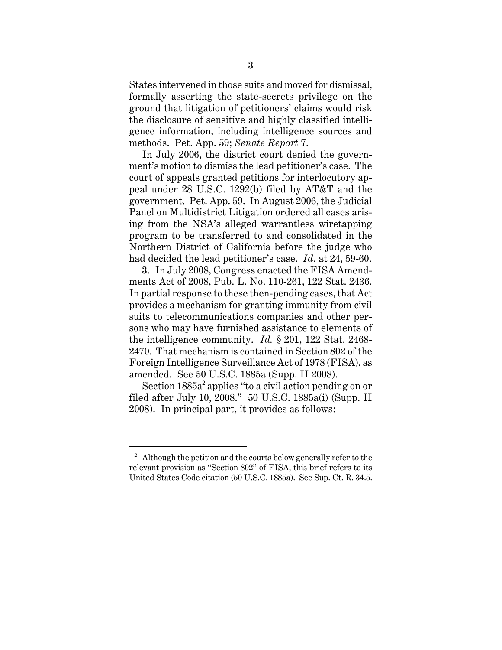States intervened in those suits and moved for dismissal, formally asserting the state-secrets privilege on the ground that litigation of petitioners' claims would risk the disclosure of sensitive and highly classified intelligence information, including intelligence sources and methods. Pet. App. 59; *Senate Report* 7.

In July 2006, the district court denied the government's motion to dismiss the lead petitioner's case. The court of appeals granted petitions for interlocutory appeal under 28 U.S.C. 1292(b) filed by AT&T and the government. Pet. App. 59. In August 2006, the Judicial Panel on Multidistrict Litigation ordered all cases arising from the NSA's alleged warrantless wiretapping program to be transferred to and consolidated in the Northern District of California before the judge who had decided the lead petitioner's case. *Id*. at 24, 59-60.

3. In July 2008, Congress enacted the FISA Amendments Act of 2008, Pub. L. No. 110-261, 122 Stat. 2436. In partial response to these then-pending cases, that Act provides a mechanism for granting immunity from civil suits to telecommunications companies and other persons who may have furnished assistance to elements of the intelligence community. *Id.* § 201, 122 Stat. 2468- 2470. That mechanism is contained in Section 802 of the Foreign Intelligence Surveillance Act of 1978 (FISA), as amended. See 50 U.S.C. 1885a (Supp. II 2008).

Section 1885a<sup>2</sup> applies "to a civil action pending on or filed after July 10, 2008." 50 U.S.C. 1885a(i) (Supp. II 2008). In principal part, it provides as follows:

<sup>&</sup>lt;sup>2</sup> Although the petition and the courts below generally refer to the relevant provision as "Section 802" of FISA, this brief refers to its United States Code citation (50 U.S.C. 1885a). See Sup. Ct. R. 34.5.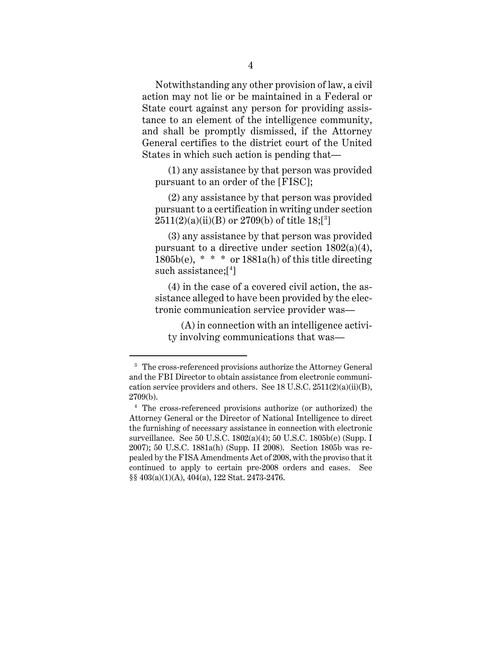Notwithstanding any other provision of law, a civil action may not lie or be maintained in a Federal or State court against any person for providing assistance to an element of the intelligence community, and shall be promptly dismissed, if the Attorney General certifies to the district court of the United States in which such action is pending that—

 (1) any assistance by that person was provided pursuant to an order of the [FISC];

 (2) any assistance by that person was provided pursuant to a certification in writing under section  $2511(2)(a)(ii)(B)$  or  $2709(b)$  of title  $18;[^3]$ 

 (3) any assistance by that person was provided pursuant to a directive under section  $1802(a)(4)$ ,  $1805b(e)$ , \* \* \* or  $1881a(h)$  of this title directing such assistance;[4 ]

 (4) in the case of a covered civil action, the assistance alleged to have been provided by the electronic communication service provider was—

 (A) in connection with an intelligence activity involving communications that was—

<sup>&</sup>lt;sup>3</sup> The cross-referenced provisions authorize the Attorney General and the FBI Director to obtain assistance from electronic communication service providers and others. See  $18$  U.S.C.  $2511(2)(a)(ii)(B)$ , 2709(b).

<sup>4</sup> The cross-referenced provisions authorize (or authorized) the Attorney General or the Director of National Intelligence to direct the furnishing of necessary assistance in connection with electronic surveillance. See 50 U.S.C. 1802(a)(4); 50 U.S.C. 1805b(e) (Supp. I 2007); 50 U.S.C. 1881a(h) (Supp. II 2008). Section 1805b was repealed by the FISA Amendments Act of 2008, with the proviso that it continued to apply to certain pre-2008 orders and cases. See §§ 403(a)(1)(A), 404(a), 122 Stat. 2473-2476.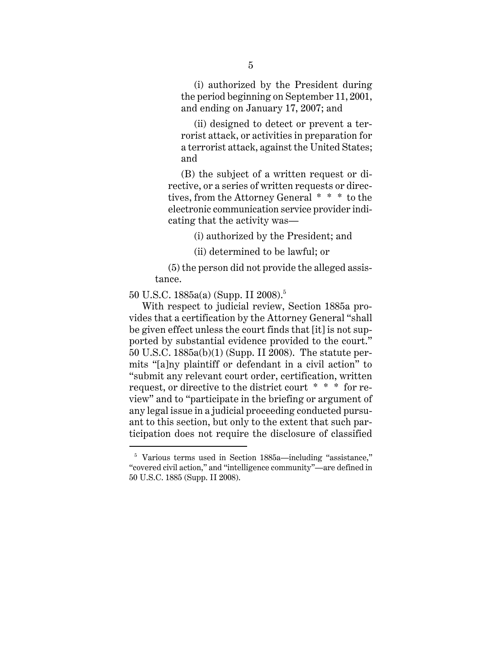(i) authorized by the President during the period beginning on September 11, 2001, and ending on January 17, 2007; and

 (ii) designed to detect or prevent a terrorist attack, or activities in preparation for a terrorist attack, against the United States; and

 (B) the subject of a written request or directive, or a series of written requests or directives, from the Attorney General \* \* \* to the electronic communication service provider indicating that the activity was—

(i) authorized by the President; and

(ii) determined to be lawful; or

 (5) the person did not provide the alleged assistance.

50 U.S.C. 1885a(a) (Supp. II 2008).5

 $\overline{a}$ 

With respect to judicial review, Section 1885a provides that a certification by the Attorney General "shall be given effect unless the court finds that [it] is not supported by substantial evidence provided to the court." 50 U.S.C. 1885a(b)(1) (Supp. II 2008). The statute permits "[a]ny plaintiff or defendant in a civil action" to "submit any relevant court order, certification, written request, or directive to the district court \* \* \* for review" and to "participate in the briefing or argument of any legal issue in a judicial proceeding conducted pursuant to this section, but only to the extent that such participation does not require the disclosure of classified

<sup>&</sup>lt;sup>5</sup> Various terms used in Section 1885a—including "assistance," "covered civil action," and "intelligence community"—are defined in 50 U.S.C. 1885 (Supp. II 2008).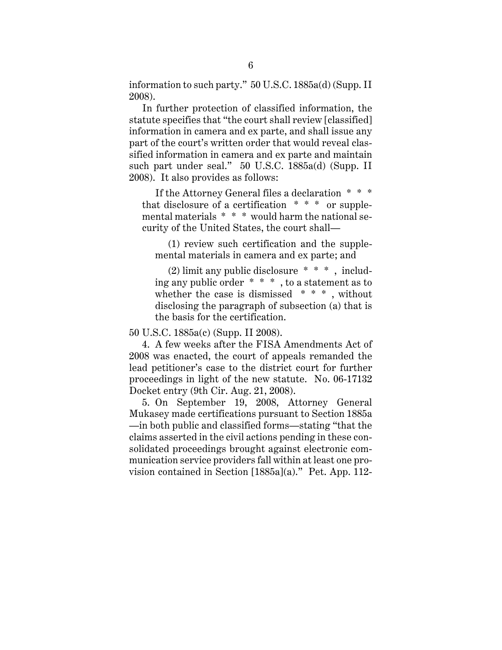information to such party." 50 U.S.C. 1885a(d) (Supp. II 2008).

In further protection of classified information, the statute specifies that "the court shall review [classified] information in camera and ex parte, and shall issue any part of the court's written order that would reveal classified information in camera and ex parte and maintain such part under seal." 50 U.S.C. 1885a(d) (Supp. II 2008). It also provides as follows:

 If the Attorney General files a declaration \* \* \* that disclosure of a certification  $* * *$  or supplemental materials \* \* \* would harm the national security of the United States, the court shall—

 (1) review such certification and the supplemental materials in camera and ex parte; and

 (2) limit any public disclosure \* \* \* , including any public order \* \* \* , to a statement as to whether the case is dismissed \* \* \* , without disclosing the paragraph of subsection (a) that is the basis for the certification.

50 U.S.C. 1885a(c) (Supp. II 2008).

4. A few weeks after the FISA Amendments Act of 2008 was enacted, the court of appeals remanded the lead petitioner's case to the district court for further proceedings in light of the new statute. No. 06-17132 Docket entry (9th Cir. Aug. 21, 2008).

5. On September 19, 2008, Attorney General Mukasey made certifications pursuant to Section 1885a —in both public and classified forms—stating "that the claims asserted in the civil actions pending in these consolidated proceedings brought against electronic communication service providers fall within at least one provision contained in Section [1885a](a)." Pet. App. 112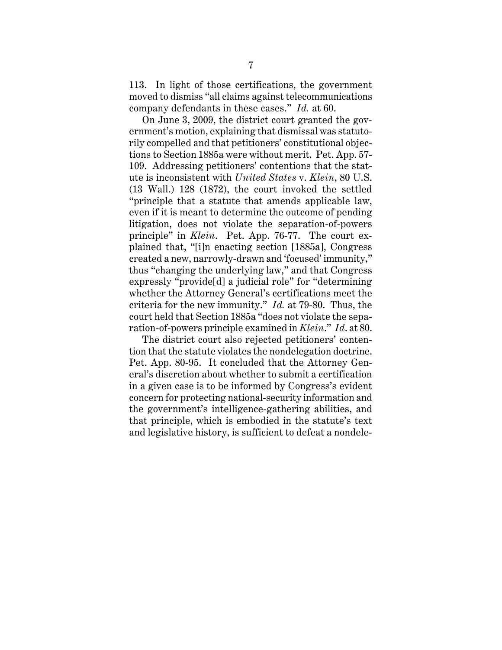113. In light of those certifications, the government moved to dismiss "all claims against telecommunications company defendants in these cases." *Id.* at 60.

On June 3, 2009, the district court granted the government's motion, explaining that dismissal was statutorily compelled and that petitioners' constitutional objections to Section 1885a were without merit. Pet. App. 57- 109. Addressing petitioners' contentions that the statute is inconsistent with *United States* v. *Klein*, 80 U.S. (13 Wall.) 128 (1872), the court invoked the settled "principle that a statute that amends applicable law, even if it is meant to determine the outcome of pending litigation, does not violate the separation-of-powers principle" in *Klein*. Pet. App. 76-77. The court explained that, "[i]n enacting section [1885a], Congress created a new, narrowly-drawn and 'focused' immunity," thus "changing the underlying law," and that Congress expressly "provide[d] a judicial role" for "determining whether the Attorney General's certifications meet the criteria for the new immunity." *Id.* at 79-80. Thus, the court held that Section 1885a "does not violate the separation-of-powers principle examined in *Klein*." *Id*. at 80.

The district court also rejected petitioners' contention that the statute violates the nondelegation doctrine. Pet. App. 80-95. It concluded that the Attorney General's discretion about whether to submit a certification in a given case is to be informed by Congress's evident concern for protecting national-security information and the government's intelligence-gathering abilities, and that principle, which is embodied in the statute's text and legislative history, is sufficient to defeat a nondele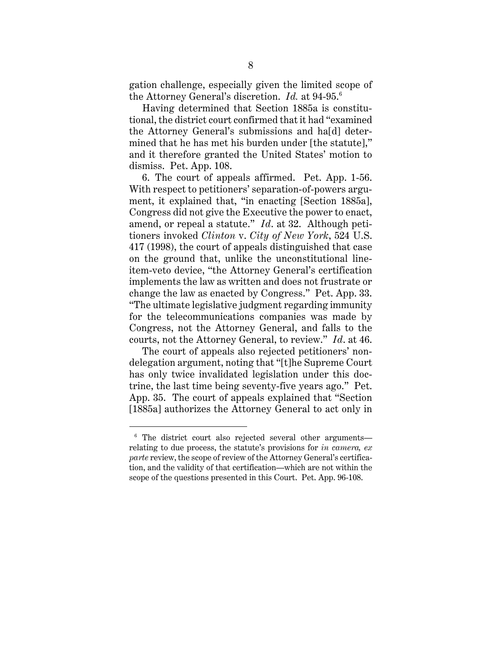gation challenge, especially given the limited scope of the Attorney General's discretion. *Id.* at 94-95.6

Having determined that Section 1885a is constitutional, the district court confirmed that it had "examined the Attorney General's submissions and ha[d] determined that he has met his burden under [the statute]," and it therefore granted the United States' motion to dismiss. Pet. App. 108.

6. The court of appeals affirmed. Pet. App. 1-56. With respect to petitioners' separation-of-powers argument, it explained that, "in enacting [Section 1885a], Congress did not give the Executive the power to enact, amend, or repeal a statute." *Id*. at 32. Although petitioners invoked *Clinton* v. *City of New York*, 524 U.S. 417 (1998), the court of appeals distinguished that case on the ground that, unlike the unconstitutional lineitem-veto device, "the Attorney General's certification implements the law as written and does not frustrate or change the law as enacted by Congress." Pet. App. 33. "The ultimate legislative judgment regarding immunity for the telecommunications companies was made by Congress, not the Attorney General, and falls to the courts, not the Attorney General, to review." *Id*. at 46.

The court of appeals also rejected petitioners' nondelegation argument, noting that "[t]he Supreme Court has only twice invalidated legislation under this doctrine, the last time being seventy-five years ago." Pet. App. 35. The court of appeals explained that "Section [1885a] authorizes the Attorney General to act only in

<sup>&</sup>lt;sup>6</sup> The district court also rejected several other argumentsrelating to due process, the statute's provisions for *in camera, ex parte* review, the scope of review of the Attorney General's certification, and the validity of that certification—which are not within the scope of the questions presented in this Court. Pet. App. 96-108.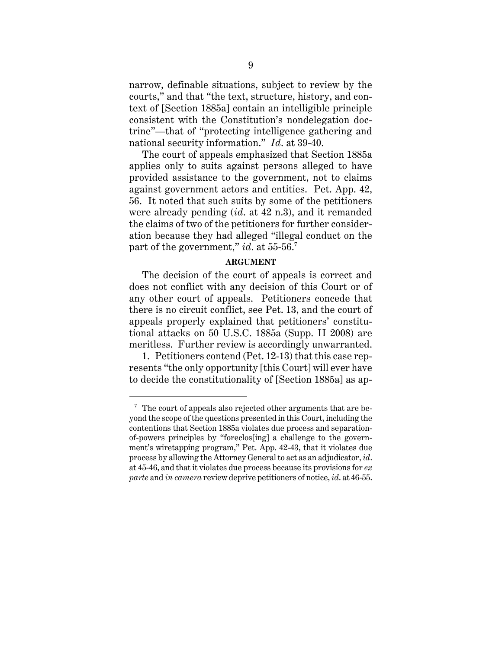narrow, definable situations, subject to review by the courts," and that "the text, structure, history, and context of [Section 1885a] contain an intelligible principle consistent with the Constitution's nondelegation doctrine"—that of "protecting intelligence gathering and national security information." *Id*. at 39-40.

The court of appeals emphasized that Section 1885a applies only to suits against persons alleged to have provided assistance to the government, not to claims against government actors and entities. Pet. App. 42, 56. It noted that such suits by some of the petitioners were already pending (*id*. at 42 n.3), and it remanded the claims of two of the petitioners for further consideration because they had alleged "illegal conduct on the part of the government," *id*. at 55-56.7

#### **ARGUMENT**

The decision of the court of appeals is correct and does not conflict with any decision of this Court or of any other court of appeals. Petitioners concede that there is no circuit conflict, see Pet. 13, and the court of appeals properly explained that petitioners' constitutional attacks on 50 U.S.C. 1885a (Supp. II 2008) are meritless. Further review is accordingly unwarranted.

1. Petitioners contend (Pet. 12-13) that this case represents "the only opportunity [this Court] will ever have to decide the constitutionality of [Section 1885a] as ap-

 $7$  The court of appeals also rejected other arguments that are beyond the scope of the questions presented in this Court, including the contentions that Section 1885a violates due process and separationof-powers principles by "foreclos[ing] a challenge to the government's wiretapping program," Pet. App. 42-43, that it violates due process by allowing the Attorney General to act as an adjudicator, *id*. at 45-46, and that it violates due process because its provisions for *ex parte* and *in camera* review deprive petitioners of notice, *id*. at 46-55.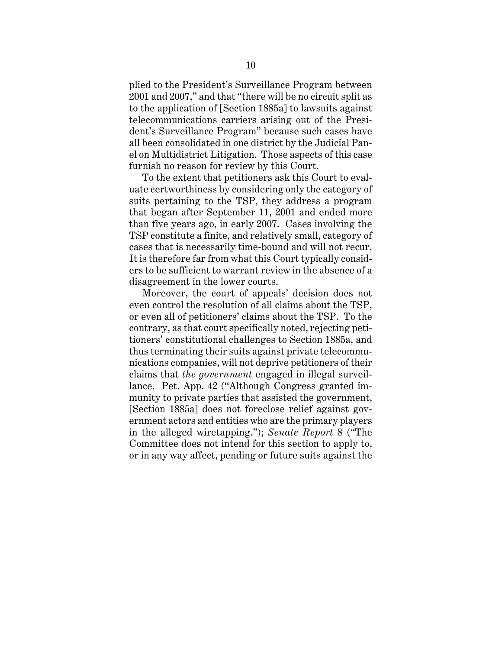plied to the President's Surveillance Program between 2001 and 2007," and that "there will be no circuit split as to the application of [Section 1885a] to lawsuits against telecommunications carriers arising out of the President's Surveillance Program" because such cases have all been consolidated in one district by the Judicial Panel on Multidistrict Litigation. Those aspects of this case furnish no reason for review by this Court.

To the extent that petitioners ask this Court to evaluate certworthiness by considering only the category of suits pertaining to the TSP, they address a program that began after September 11, 2001 and ended more than five years ago, in early 2007. Cases involving the TSP constitute a finite, and relatively small, category of cases that is necessarily time-bound and will not recur. It is therefore far from what this Court typically considers to be sufficient to warrant review in the absence of a disagreement in the lower courts.

Moreover, the court of appeals' decision does not even control the resolution of all claims about the TSP, or even all of petitioners' claims about the TSP. To the contrary, as that court specifically noted, rejecting petitioners' constitutional challenges to Section 1885a, and thus terminating their suits against private telecommunications companies, will not deprive petitioners of their claims that *the government* engaged in illegal surveillance. Pet. App. 42 ("Although Congress granted immunity to private parties that assisted the government, [Section 1885a] does not foreclose relief against government actors and entities who are the primary players in the alleged wiretapping."); *Senate Report* 8 ("The Committee does not intend for this section to apply to, or in any way affect, pending or future suits against the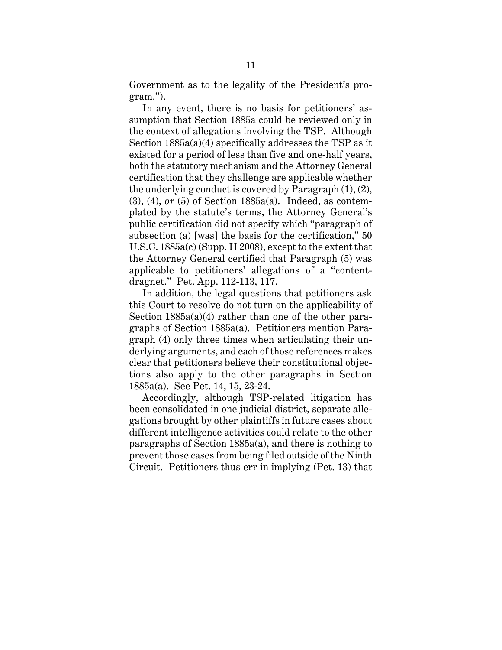Government as to the legality of the President's program.").

In any event, there is no basis for petitioners' assumption that Section 1885a could be reviewed only in the context of allegations involving the TSP. Although Section 1885a(a)(4) specifically addresses the TSP as it existed for a period of less than five and one-half years, both the statutory mechanism and the Attorney General certification that they challenge are applicable whether the underlying conduct is covered by Paragraph (1), (2), (3), (4), *or* (5) of Section 1885a(a). Indeed, as contemplated by the statute's terms, the Attorney General's public certification did not specify which "paragraph of subsection (a) [was] the basis for the certification," 50 U.S.C. 1885a(c) (Supp. II 2008), except to the extent that the Attorney General certified that Paragraph (5) was applicable to petitioners' allegations of a "contentdragnet." Pet. App. 112-113, 117.

In addition, the legal questions that petitioners ask this Court to resolve do not turn on the applicability of Section  $1885a(a)(4)$  rather than one of the other paragraphs of Section 1885a(a). Petitioners mention Paragraph (4) only three times when articulating their underlying arguments, and each of those references makes clear that petitioners believe their constitutional objections also apply to the other paragraphs in Section 1885a(a). See Pet. 14, 15, 23-24.

Accordingly, although TSP-related litigation has been consolidated in one judicial district, separate allegations brought by other plaintiffs in future cases about different intelligence activities could relate to the other paragraphs of Section 1885a(a), and there is nothing to prevent those cases from being filed outside of the Ninth Circuit. Petitioners thus err in implying (Pet. 13) that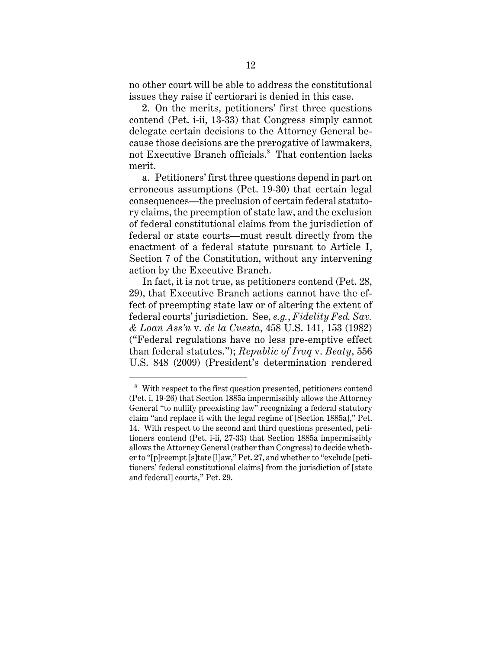no other court will be able to address the constitutional issues they raise if certiorari is denied in this case.

2. On the merits, petitioners' first three questions contend (Pet. i-ii, 13-33) that Congress simply cannot delegate certain decisions to the Attorney General because those decisions are the prerogative of lawmakers, not Executive Branch officials.<sup>8</sup> That contention lacks merit.

a. Petitioners' first three questions depend in part on erroneous assumptions (Pet. 19-30) that certain legal consequences—the preclusion of certain federal statutory claims, the preemption of state law, and the exclusion of federal constitutional claims from the jurisdiction of federal or state courts—must result directly from the enactment of a federal statute pursuant to Article I, Section 7 of the Constitution, without any intervening action by the Executive Branch.

In fact, it is not true, as petitioners contend (Pet. 28, 29), that Executive Branch actions cannot have the effect of preempting state law or of altering the extent of federal courts' jurisdiction. See, *e.g.*, *Fidelity Fed. Sav. & Loan Ass'n* v. *de la Cuesta*, 458 U.S. 141, 153 (1982) ("Federal regulations have no less pre-emptive effect than federal statutes."); *Republic of Iraq* v. *Beaty*, 556 U.S. 848 (2009) (President's determination rendered

<sup>&</sup>lt;sup>8</sup> With respect to the first question presented, petitioners contend (Pet. i, 19-26) that Section 1885a impermissibly allows the Attorney General "to nullify preexisting law" recognizing a federal statutory claim "and replace it with the legal regime of [Section 1885a]," Pet. 14. With respect to the second and third questions presented, petitioners contend (Pet. i-ii, 27-33) that Section 1885a impermissibly allows the Attorney General (rather than Congress) to decide whether to "[p]reempt [s]tate [l]aw," Pet. 27, and whether to "exclude [petitioners' federal constitutional claims] from the jurisdiction of [state and federal] courts," Pet. 29.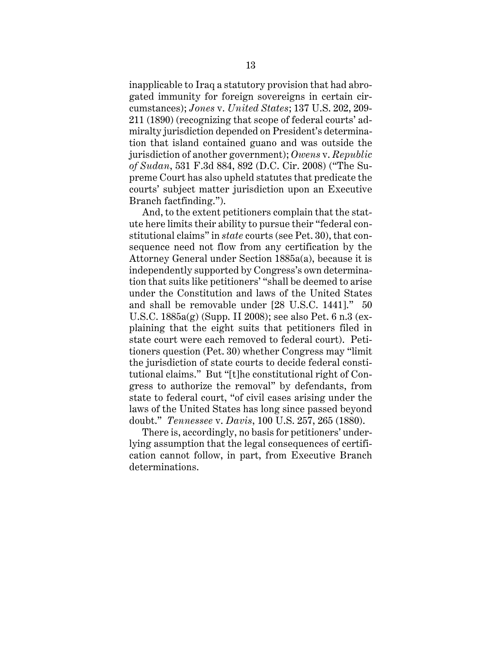inapplicable to Iraq a statutory provision that had abrogated immunity for foreign sovereigns in certain circumstances); *Jones* v. *United States*; 137 U.S. 202, 209- 211 (1890) (recognizing that scope of federal courts' admiralty jurisdiction depended on President's determination that island contained guano and was outside the jurisdiction of another government); *Owens* v. *Republic of Sudan*, 531 F.3d 884, 892 (D.C. Cir. 2008) ("The Supreme Court has also upheld statutes that predicate the courts' subject matter jurisdiction upon an Executive Branch factfinding.").

And, to the extent petitioners complain that the statute here limits their ability to pursue their "federal constitutional claims" in *state* courts (see Pet. 30), that consequence need not flow from any certification by the Attorney General under Section 1885a(a), because it is independently supported by Congress's own determination that suits like petitioners' "shall be deemed to arise under the Constitution and laws of the United States and shall be removable under [28 U.S.C. 1441]." 50 U.S.C. 1885a(g) (Supp. II 2008); see also Pet. 6 n.3 (explaining that the eight suits that petitioners filed in state court were each removed to federal court). Petitioners question (Pet. 30) whether Congress may "limit the jurisdiction of state courts to decide federal constitutional claims." But "[t]he constitutional right of Congress to authorize the removal" by defendants, from state to federal court, "of civil cases arising under the laws of the United States has long since passed beyond doubt." *Tennessee* v. *Davis*, 100 U.S. 257, 265 (1880).

There is, accordingly, no basis for petitioners' underlying assumption that the legal consequences of certification cannot follow, in part, from Executive Branch determinations.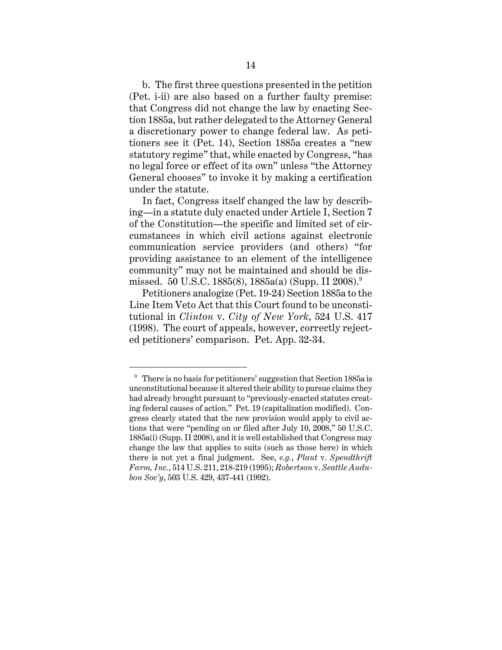b. The first three questions presented in the petition (Pet. i-ii) are also based on a further faulty premise: that Congress did not change the law by enacting Section 1885a, but rather delegated to the Attorney General a discretionary power to change federal law. As petitioners see it (Pet. 14), Section 1885a creates a "new statutory regime" that, while enacted by Congress, "has no legal force or effect of its own" unless "the Attorney General chooses" to invoke it by making a certification under the statute.

In fact, Congress itself changed the law by describing—in a statute duly enacted under Article I, Section 7 of the Constitution—the specific and limited set of circumstances in which civil actions against electronic communication service providers (and others) "for providing assistance to an element of the intelligence community" may not be maintained and should be dismissed. 50 U.S.C. 1885(8), 1885a(a) (Supp. II 2008).<sup>9</sup>

Petitioners analogize (Pet. 19-24) Section 1885a to the Line Item Veto Act that this Court found to be unconstitutional in *Clinton* v. *City of New York*, 524 U.S. 417 (1998). The court of appeals, however, correctly rejected petitioners' comparison. Pet. App. 32-34.

<sup>&</sup>lt;sup>9</sup> There is no basis for petitioners' suggestion that Section 1885a is unconstitutional because it altered their ability to pursue claims they had already brought pursuant to "previously-enacted statutes creating federal causes of action." Pet. 19 (capitalization modified). Congress clearly stated that the new provision would apply to civil actions that were "pending on or filed after July 10, 2008," 50 U.S.C. 1885a(i) (Supp. II 2008), and it is well established that Congress may change the law that applies to suits (such as those here) in which there is not yet a final judgment. See, *e.g.*, *Plaut* v. *Spendthrift Farm, Inc.*, 514 U.S. 211, 218-219 (1995); *Robertson* v. *Seattle Audubon Soc'y*, 503 U.S. 429, 437-441 (1992).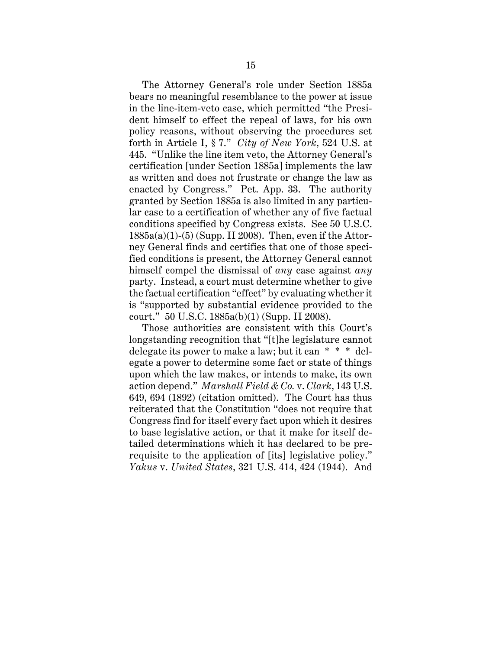The Attorney General's role under Section 1885a bears no meaningful resemblance to the power at issue in the line-item-veto case, which permitted "the President himself to effect the repeal of laws, for his own policy reasons, without observing the procedures set forth in Article I, § 7." *City of New York*, 524 U.S. at 445. "Unlike the line item veto, the Attorney General's certification [under Section 1885a] implements the law as written and does not frustrate or change the law as enacted by Congress." Pet. App. 33. The authority granted by Section 1885a is also limited in any particular case to a certification of whether any of five factual conditions specified by Congress exists. See 50 U.S.C.  $1885a(a)(1)-(5)$  (Supp. II 2008). Then, even if the Attorney General finds and certifies that one of those specified conditions is present, the Attorney General cannot himself compel the dismissal of *any* case against *any* party. Instead, a court must determine whether to give the factual certification "effect" by evaluating whether it is "supported by substantial evidence provided to the court." 50 U.S.C. 1885a(b)(1) (Supp. II 2008).

Those authorities are consistent with this Court's longstanding recognition that "[t]he legislature cannot delegate its power to make a law; but it can \* \* \* delegate a power to determine some fact or state of things upon which the law makes, or intends to make, its own action depend." *Marshall Field & Co.* v. *Clark*, 143 U.S. 649, 694 (1892) (citation omitted). The Court has thus reiterated that the Constitution "does not require that Congress find for itself every fact upon which it desires to base legislative action, or that it make for itself detailed determinations which it has declared to be prerequisite to the application of [its] legislative policy." *Yakus* v. *United States*, 321 U.S. 414, 424 (1944). And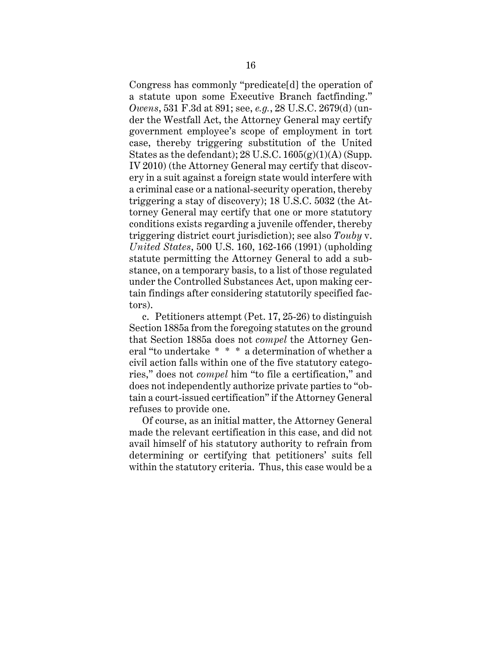Congress has commonly "predicate[d] the operation of a statute upon some Executive Branch factfinding." *Owens*, 531 F.3d at 891; see, *e.g.*, 28 U.S.C. 2679(d) (under the Westfall Act, the Attorney General may certify government employee's scope of employment in tort case, thereby triggering substitution of the United States as the defendant);  $28 \text{ U.S.C. } 1605(g)(1)(\text{A})$  (Supp. IV 2010) (the Attorney General may certify that discovery in a suit against a foreign state would interfere with a criminal case or a national-security operation, thereby triggering a stay of discovery); 18 U.S.C. 5032 (the Attorney General may certify that one or more statutory conditions exists regarding a juvenile offender, thereby triggering district court jurisdiction); see also *Touby* v. *United States*, 500 U.S. 160, 162-166 (1991) (upholding statute permitting the Attorney General to add a substance, on a temporary basis, to a list of those regulated under the Controlled Substances Act, upon making certain findings after considering statutorily specified factors).

c. Petitioners attempt (Pet. 17, 25-26) to distinguish Section 1885a from the foregoing statutes on the ground that Section 1885a does not *compel* the Attorney General "to undertake \* \* \* a determination of whether a civil action falls within one of the five statutory categories," does not *compel* him "to file a certification," and does not independently authorize private parties to "obtain a court-issued certification" if the Attorney General refuses to provide one.

Of course, as an initial matter, the Attorney General made the relevant certification in this case, and did not avail himself of his statutory authority to refrain from determining or certifying that petitioners' suits fell within the statutory criteria. Thus, this case would be a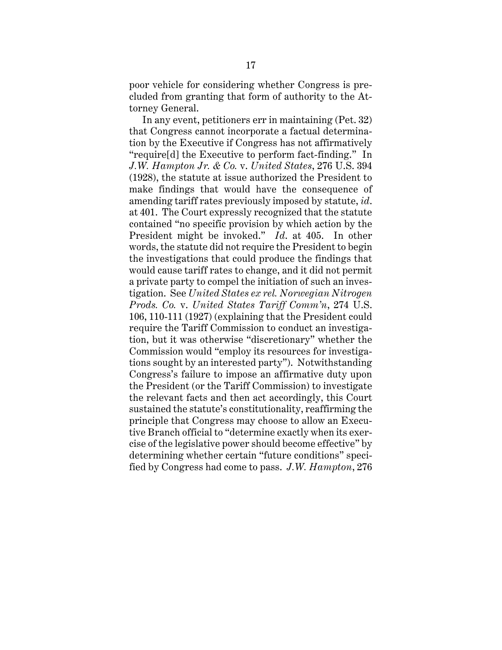poor vehicle for considering whether Congress is precluded from granting that form of authority to the Attorney General.

In any event, petitioners err in maintaining (Pet. 32) that Congress cannot incorporate a factual determination by the Executive if Congress has not affirmatively "require[d] the Executive to perform fact-finding." In *J.W. Hampton Jr. & Co.* v. *United States*, 276 U.S. 394 (1928), the statute at issue authorized the President to make findings that would have the consequence of amending tariff rates previously imposed by statute, *id*. at 401. The Court expressly recognized that the statute contained "no specific provision by which action by the President might be invoked." *Id*. at 405. In other words, the statute did not require the President to begin the investigations that could produce the findings that would cause tariff rates to change, and it did not permit a private party to compel the initiation of such an investigation. See *United States ex rel. Norwegian Nitrogen Prods. Co.* v. *United States Tariff Comm'n*, 274 U.S. 106, 110-111 (1927) (explaining that the President could require the Tariff Commission to conduct an investigation, but it was otherwise "discretionary" whether the Commission would "employ its resources for investigations sought by an interested party"). Notwithstanding Congress's failure to impose an affirmative duty upon the President (or the Tariff Commission) to investigate the relevant facts and then act accordingly, this Court sustained the statute's constitutionality, reaffirming the principle that Congress may choose to allow an Executive Branch official to "determine exactly when its exercise of the legislative power should become effective" by determining whether certain "future conditions" specified by Congress had come to pass. *J.W. Hampton*, 276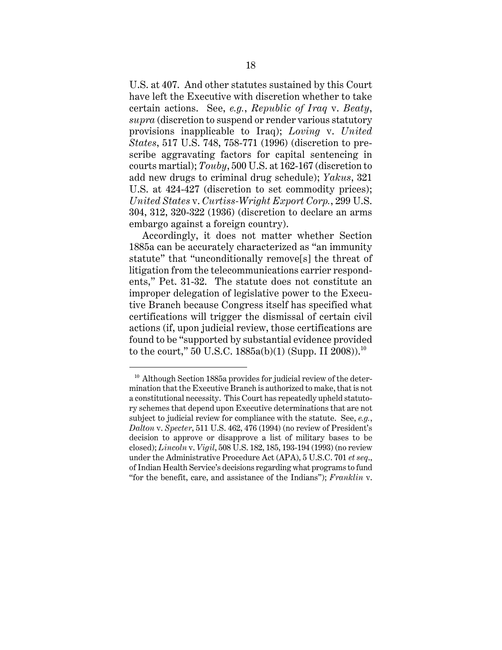U.S. at 407. And other statutes sustained by this Court have left the Executive with discretion whether to take certain actions. See, *e.g.*, *Republic of Iraq* v. *Beaty*, *supra* (discretion to suspend or render various statutory provisions inapplicable to Iraq); *Loving* v. *United States*, 517 U.S. 748, 758-771 (1996) (discretion to prescribe aggravating factors for capital sentencing in courts martial); *Touby*, 500 U.S. at 162-167 (discretion to add new drugs to criminal drug schedule); *Yakus*, 321 U.S. at 424-427 (discretion to set commodity prices); *United States* v. *Curtiss-Wright Export Corp.*, 299 U.S. 304, 312, 320-322 (1936) (discretion to declare an arms embargo against a foreign country).

Accordingly, it does not matter whether Section 1885a can be accurately characterized as "an immunity statute" that "unconditionally remove[s] the threat of litigation from the telecommunications carrier respondents," Pet. 31-32. The statute does not constitute an improper delegation of legislative power to the Executive Branch because Congress itself has specified what certifications will trigger the dismissal of certain civil actions (if, upon judicial review, those certifications are found to be "supported by substantial evidence provided to the court," 50 U.S.C.  $1885a(b)(1)$  (Supp. II 2008)).<sup>10</sup>

 $10$  Although Section 1885a provides for judicial review of the determination that the Executive Branch is authorized to make, that is not a constitutional necessity. This Court has repeatedly upheld statutory schemes that depend upon Executive determinations that are not subject to judicial review for compliance with the statute. See, *e.g.*, *Dalton* v. *Specter*, 511 U.S. 462, 476 (1994) (no review of President's decision to approve or disapprove a list of military bases to be closed); *Lincoln* v. *Vigil*, 508 U.S. 182, 185, 193-194 (1993) (no review under the Administrative Procedure Act (APA), 5 U.S.C. 701 *et seq*., of Indian Health Service's decisions regarding what programs to fund "for the benefit, care, and assistance of the Indians"); *Franklin* v.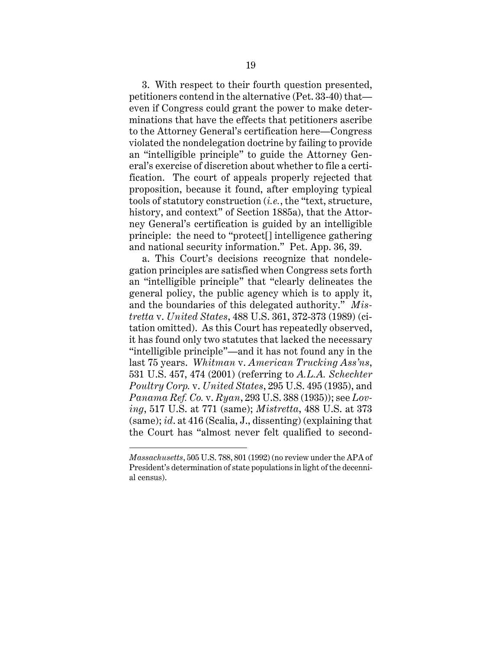3. With respect to their fourth question presented, petitioners contend in the alternative (Pet. 33-40) that even if Congress could grant the power to make determinations that have the effects that petitioners ascribe to the Attorney General's certification here—Congress violated the nondelegation doctrine by failing to provide an "intelligible principle" to guide the Attorney General's exercise of discretion about whether to file a certification. The court of appeals properly rejected that proposition, because it found, after employing typical tools of statutory construction (*i.e.*, the "text, structure, history, and context" of Section 1885a), that the Attorney General's certification is guided by an intelligible principle: the need to "protect[] intelligence gathering and national security information." Pet. App. 36, 39.

a. This Court's decisions recognize that nondelegation principles are satisfied when Congress sets forth an "intelligible principle" that "clearly delineates the general policy, the public agency which is to apply it, and the boundaries of this delegated authority." *Mistretta* v. *United States*, 488 U.S. 361, 372-373 (1989) (citation omitted). As this Court has repeatedly observed, it has found only two statutes that lacked the necessary "intelligible principle"—and it has not found any in the last 75 years. *Whitman* v. *American Trucking Ass'ns*, 531 U.S. 457, 474 (2001) (referring to *A.L.A. Schechter Poultry Corp.* v. *United States*, 295 U.S. 495 (1935), and *Panama Ref. Co.* v. *Ryan*, 293 U.S. 388 (1935)); see *Loving*, 517 U.S. at 771 (same); *Mistretta*, 488 U.S. at 373 (same); *id*. at 416 (Scalia, J., dissenting) (explaining that the Court has "almost never felt qualified to second-

*Massachusetts*, 505 U.S. 788, 801 (1992) (no review under the APA of President's determination of state populations in light of the decennial census).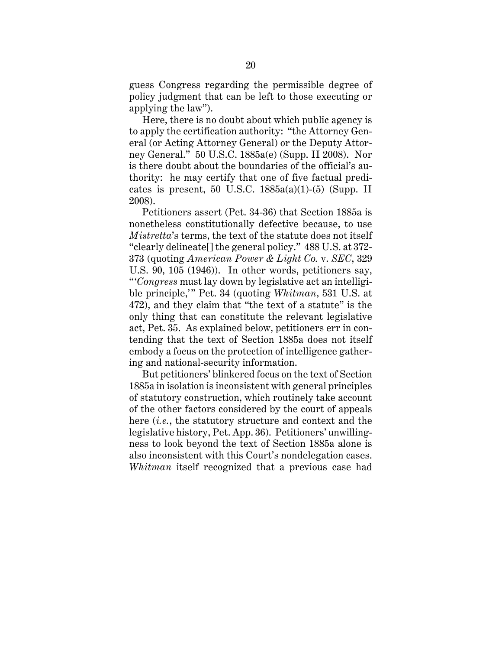guess Congress regarding the permissible degree of policy judgment that can be left to those executing or applying the law").

Here, there is no doubt about which public agency is to apply the certification authority: "the Attorney General (or Acting Attorney General) or the Deputy Attorney General." 50 U.S.C. 1885a(e) (Supp. II 2008). Nor is there doubt about the boundaries of the official's authority: he may certify that one of five factual predicates is present, 50 U.S.C.  $1885a(a)(1)-(5)$  (Supp. II 2008).

Petitioners assert (Pet. 34-36) that Section 1885a is nonetheless constitutionally defective because, to use *Mistretta*'s terms, the text of the statute does not itself "clearly delineate[] the general policy." 488 U.S. at 372- 373 (quoting *American Power & Light Co.* v. *SEC*, 329 U.S. 90, 105 (1946)). In other words, petitioners say, " '*Congress* must lay down by legislative act an intelligible principle," Pet. 34 (quoting *Whitman*, 531 U.S. at 472), and they claim that "the text of a statute" is the only thing that can constitute the relevant legislative act, Pet. 35. As explained below, petitioners err in contending that the text of Section 1885a does not itself embody a focus on the protection of intelligence gathering and national-security information.

But petitioners' blinkered focus on the text of Section 1885a in isolation is inconsistent with general principles of statutory construction, which routinely take account of the other factors considered by the court of appeals here (*i.e.*, the statutory structure and context and the legislative history, Pet. App. 36). Petitioners' unwillingness to look beyond the text of Section 1885a alone is also inconsistent with this Court's nondelegation cases. *Whitman* itself recognized that a previous case had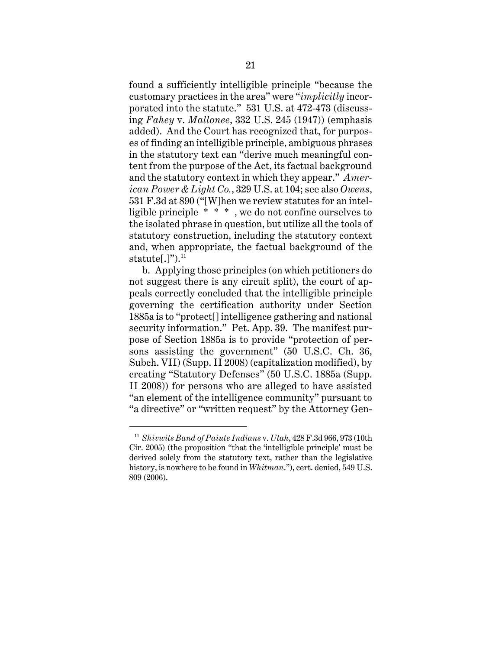found a sufficiently intelligible principle "because the customary practices in the area" were "*implicitly* incorporated into the statute." 531 U.S. at 472-473 (discussing *Fahey* v. *Mallonee*, 332 U.S. 245 (1947)) (emphasis added). And the Court has recognized that, for purposes of finding an intelligible principle, ambiguous phrases in the statutory text can "derive much meaningful content from the purpose of the Act, its factual background and the statutory context in which they appear." *American Power & Light Co.*, 329 U.S. at 104; see also *Owens*, 531 F.3d at 890 ("[W]hen we review statutes for an intelligible principle \* \* \* , we do not confine ourselves to the isolated phrase in question, but utilize all the tools of statutory construction, including the statutory context and, when appropriate, the factual background of the statute[.]" $)^{11}$ 

b. Applying those principles (on which petitioners do not suggest there is any circuit split), the court of appeals correctly concluded that the intelligible principle governing the certification authority under Section 1885a is to "protect[] intelligence gathering and national security information." Pet. App. 39. The manifest purpose of Section 1885a is to provide "protection of persons assisting the government" (50 U.S.C. Ch. 36, Subch. VII) (Supp. II 2008) (capitalization modified), by creating "Statutory Defenses" (50 U.S.C. 1885a (Supp. II 2008)) for persons who are alleged to have assisted "an element of the intelligence community" pursuant to "a directive" or "written request" by the Attorney Gen-

<sup>11</sup> *Shivwits Band of Paiute Indians* v. *Utah*, 428 F.3d 966, 973 (10th Cir. 2005) (the proposition "that the 'intelligible principle' must be derived solely from the statutory text, rather than the legislative history, is nowhere to be found in *Whitman*."), cert. denied, 549 U.S. 809 (2006).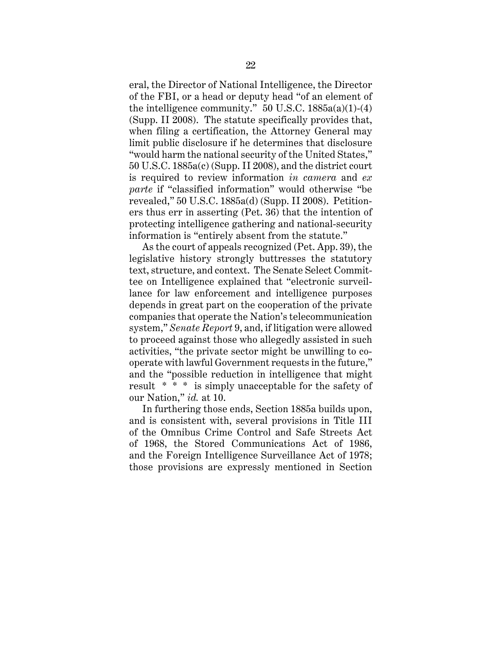eral, the Director of National Intelligence, the Director of the FBI, or a head or deputy head "of an element of the intelligence community."  $50$  U.S.C.  $1885a(a)(1)-(4)$ (Supp. II 2008). The statute specifically provides that, when filing a certification, the Attorney General may limit public disclosure if he determines that disclosure "would harm the national security of the United States," 50 U.S.C. 1885a(c) (Supp. II 2008), and the district court is required to review information *in camera* and *ex parte* if "classified information" would otherwise "be revealed," 50 U.S.C. 1885a(d) (Supp. II 2008). Petitioners thus err in asserting (Pet. 36) that the intention of protecting intelligence gathering and national-security information is "entirely absent from the statute."

As the court of appeals recognized (Pet. App. 39), the legislative history strongly buttresses the statutory text, structure, and context. The Senate Select Committee on Intelligence explained that "electronic surveillance for law enforcement and intelligence purposes depends in great part on the cooperation of the private companies that operate the Nation's telecommunication system," *Senate Report* 9, and, if litigation were allowed to proceed against those who allegedly assisted in such activities, "the private sector might be unwilling to cooperate with lawful Government requests in the future," and the "possible reduction in intelligence that might result \* \* \* is simply unacceptable for the safety of our Nation," *id.* at 10.

In furthering those ends, Section 1885a builds upon, and is consistent with, several provisions in Title III of the Omnibus Crime Control and Safe Streets Act of 1968, the Stored Communications Act of 1986, and the Foreign Intelligence Surveillance Act of 1978; those provisions are expressly mentioned in Section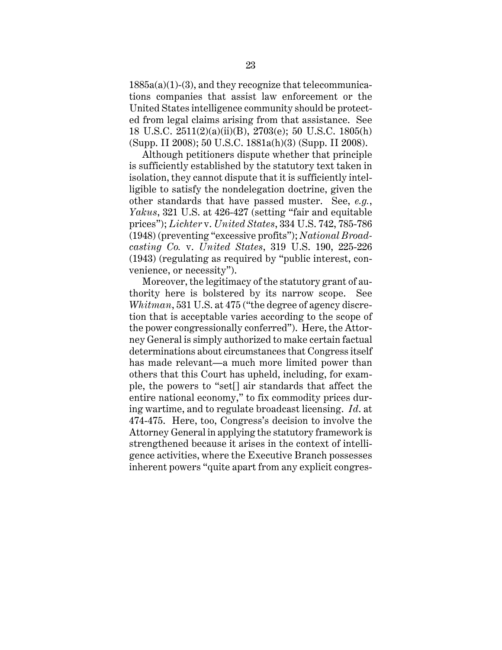$1885a(a)(1)-(3)$ , and they recognize that telecommunications companies that assist law enforcement or the United States intelligence community should be protected from legal claims arising from that assistance. See 18 U.S.C. 2511(2)(a)(ii)(B), 2703(e); 50 U.S.C. 1805(h) (Supp. II 2008); 50 U.S.C. 1881a(h)(3) (Supp. II 2008).

Although petitioners dispute whether that principle is sufficiently established by the statutory text taken in isolation, they cannot dispute that it is sufficiently intelligible to satisfy the nondelegation doctrine, given the other standards that have passed muster. See, *e.g.*, *Yakus*, 321 U.S. at 426-427 (setting "fair and equitable prices"); *Lichter* v. *United States*, 334 U.S. 742, 785-786 (1948) (preventing "excessive profits"); *National Broadcasting Co.* v. *United States*, 319 U.S. 190, 225-226 (1943) (regulating as required by "public interest, convenience, or necessity").

Moreover, the legitimacy of the statutory grant of authority here is bolstered by its narrow scope. See *Whitman*, 531 U.S. at 475 ("the degree of agency discretion that is acceptable varies according to the scope of the power congressionally conferred"). Here, the Attorney General is simply authorized to make certain factual determinations about circumstances that Congress itself has made relevant—a much more limited power than others that this Court has upheld, including, for example, the powers to "set[] air standards that affect the entire national economy," to fix commodity prices during wartime, and to regulate broadcast licensing. *Id*. at 474-475. Here, too, Congress's decision to involve the Attorney General in applying the statutory framework is strengthened because it arises in the context of intelligence activities, where the Executive Branch possesses inherent powers "quite apart from any explicit congres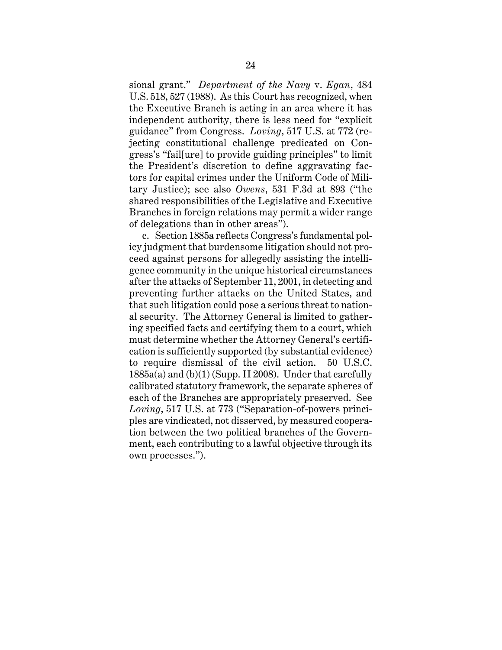sional grant." *Department of the Navy* v. *Egan*, 484 U.S. 518, 527 (1988). As this Court has recognized, when the Executive Branch is acting in an area where it has independent authority, there is less need for "explicit guidance" from Congress. *Loving*, 517 U.S. at 772 (rejecting constitutional challenge predicated on Congress's "fail[ure] to provide guiding principles" to limit the President's discretion to define aggravating factors for capital crimes under the Uniform Code of Military Justice); see also *Owens*, 531 F.3d at 893 ("the shared responsibilities of the Legislative and Executive Branches in foreign relations may permit a wider range of delegations than in other areas").

c. Section 1885a reflects Congress's fundamental policy judgment that burdensome litigation should not proceed against persons for allegedly assisting the intelligence community in the unique historical circumstances after the attacks of September 11, 2001, in detecting and preventing further attacks on the United States, and that such litigation could pose a serious threat to national security. The Attorney General is limited to gathering specified facts and certifying them to a court, which must determine whether the Attorney General's certification is sufficiently supported (by substantial evidence) to require dismissal of the civil action. 50 U.S.C. 1885a(a) and (b)(1) (Supp. II 2008). Under that carefully calibrated statutory framework, the separate spheres of each of the Branches are appropriately preserved. See *Loving*, 517 U.S. at 773 ("Separation-of-powers principles are vindicated, not disserved, by measured cooperation between the two political branches of the Government, each contributing to a lawful objective through its own processes.").